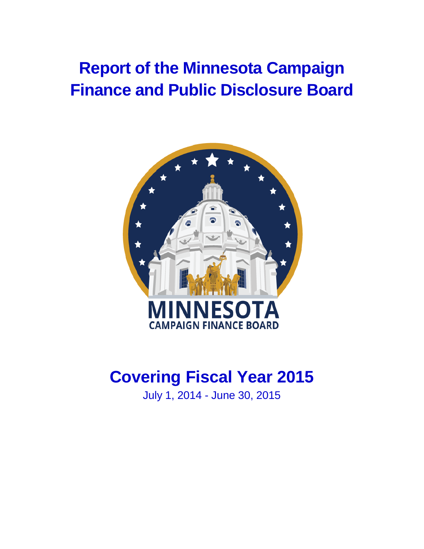# **Report of the Minnesota Campaign Finance and Public Disclosure Board**



# **Covering Fiscal Year 2015**

July 1, 2014 - June 30, 2015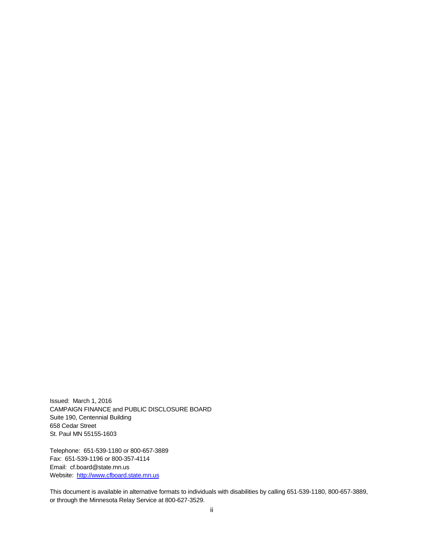Issued: March 1, 2016 CAMPAIGN FINANCE and PUBLIC DISCLOSURE BOARD Suite 190, Centennial Building 658 Cedar Street St. Paul MN 55155-1603

Telephone: 651-539-1180 or 800-657-3889 Fax: 651-539-1196 or 800-357-4114 Email: cf.board@state.mn.us Website: [http://www.cfboard.state.mn.us](http://www.cfboard.state.mn.us/)

This document is available in alternative formats to individuals with disabilities by calling 651-539-1180, 800-657-3889, or through the Minnesota Relay Service at 800-627-3529.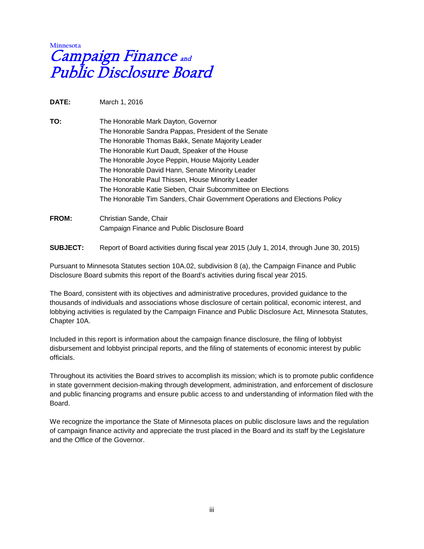# **Minnesot** Campaign Finance and Public Disclosure Board

**DATE:** March 1, 2016

**TO:** The Honorable Mark Dayton, Governor The Honorable Sandra Pappas, President of the Senate The Honorable Thomas Bakk, Senate Majority Leader The Honorable Kurt Daudt, Speaker of the House The Honorable Joyce Peppin, House Majority Leader The Honorable David Hann, Senate Minority Leader The Honorable Paul Thissen, House Minority Leader The Honorable Katie Sieben, Chair Subcommittee on Elections The Honorable Tim Sanders, Chair Government Operations and Elections Policy

# **FROM:** Christian Sande, Chair Campaign Finance and Public Disclosure Board

**SUBJECT:** Report of Board activities during fiscal year 2015 (July 1, 2014, through June 30, 2015)

Pursuant to Minnesota Statutes section 10A.02, subdivision 8 (a), the Campaign Finance and Public Disclosure Board submits this report of the Board's activities during fiscal year 2015.

The Board, consistent with its objectives and administrative procedures, provided guidance to the thousands of individuals and associations whose disclosure of certain political, economic interest, and lobbying activities is regulated by the Campaign Finance and Public Disclosure Act, Minnesota Statutes, Chapter 10A.

Included in this report is information about the campaign finance disclosure, the filing of lobbyist disbursement and lobbyist principal reports, and the filing of statements of economic interest by public officials.

Throughout its activities the Board strives to accomplish its mission; which is to promote public confidence in state government decision-making through development, administration, and enforcement of disclosure and public financing programs and ensure public access to and understanding of information filed with the Board.

We recognize the importance the State of Minnesota places on public disclosure laws and the regulation of campaign finance activity and appreciate the trust placed in the Board and its staff by the Legislature and the Office of the Governor.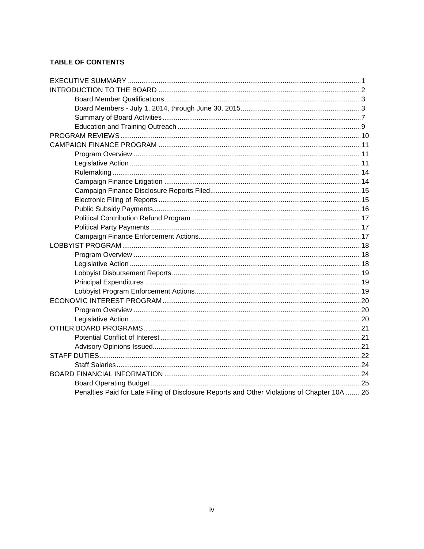# **TABLE OF CONTENTS**

| Penalties Paid for Late Filing of Disclosure Reports and Other Violations of Chapter 10A 26 |  |
|---------------------------------------------------------------------------------------------|--|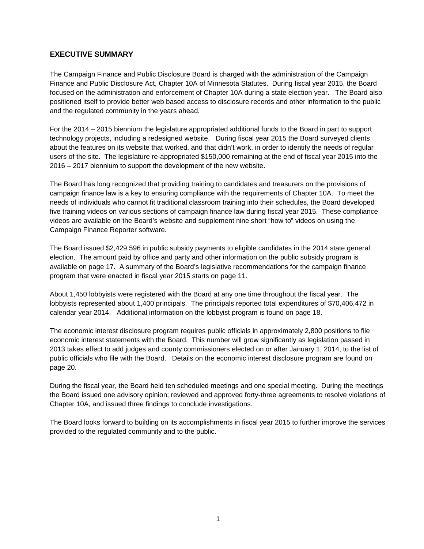## <span id="page-4-0"></span>**EXECUTIVE SUMMARY**

The Campaign Finance and Public Disclosure Board is charged with the administration of the Campaign Finance and Public Disclosure Act, Chapter 10A of Minnesota Statutes. During fiscal year 2015, the Board focused on the administration and enforcement of Chapter 10A during a state election year. The Board also positioned itself to provide better web based access to disclosure records and other information to the public and the regulated community in the years ahead.

For the 2014 – 2015 biennium the legislature appropriated additional funds to the Board in part to support technology projects, including a redesigned website. During fiscal year 2015 the Board surveyed clients about the features on its website that worked, and that didn't work, in order to identify the needs of regular users of the site. The legislature re-appropriated \$150,000 remaining at the end of fiscal year 2015 into the 2016 – 2017 biennium to support the development of the new website.

The Board has long recognized that providing training to candidates and treasurers on the provisions of campaign finance law is a key to ensuring compliance with the requirements of Chapter 10A. To meet the needs of individuals who cannot fit traditional classroom training into their schedules, the Board developed five training videos on various sections of campaign finance law during fiscal year 2015. These compliance videos are available on the Board's website and supplement nine short "how to" videos on using the Campaign Finance Reporter software.

The Board issued \$2,429,596 in public subsidy payments to eligible candidates in the 2014 state general election. The amount paid by office and party and other information on the public subsidy program is available on page 17. A summary of the Board's legislative recommendations for the campaign finance program that were enacted in fiscal year 2015 starts on page 11.

About 1,450 lobbyists were registered with the Board at any one time throughout the fiscal year. The lobbyists represented about 1,400 principals. The principals reported total expenditures of \$70,406,472 in calendar year 2014. Additional information on the lobbyist program is found on page 18.

The economic interest disclosure program requires public officials in approximately 2,800 positions to file economic interest statements with the Board. This number will grow significantly as legislation passed in 2013 takes effect to add judges and county commissioners elected on or after January 1, 2014, to the list of public officials who file with the Board. Details on the economic interest disclosure program are found on page 20.

During the fiscal year, the Board held ten scheduled meetings and one special meeting. During the meetings the Board issued one advisory opinion; reviewed and approved forty-three agreements to resolve violations of Chapter 10A, and issued three findings to conclude investigations.

The Board looks forward to building on its accomplishments in fiscal year 2015 to further improve the services provided to the regulated community and to the public.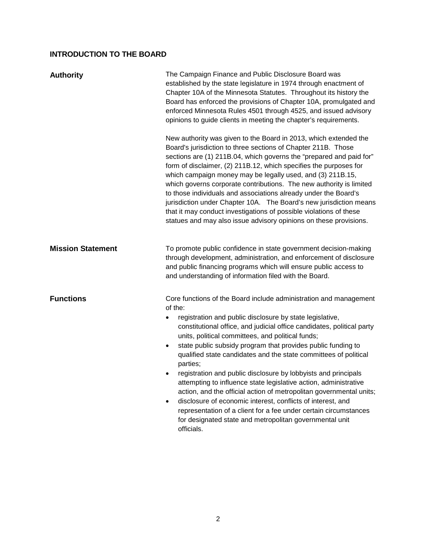# <span id="page-5-0"></span>**INTRODUCTION TO THE BOARD**

| <b>Authority</b>         | The Campaign Finance and Public Disclosure Board was<br>established by the state legislature in 1974 through enactment of<br>Chapter 10A of the Minnesota Statutes. Throughout its history the<br>Board has enforced the provisions of Chapter 10A, promulgated and<br>enforced Minnesota Rules 4501 through 4525, and issued advisory<br>opinions to guide clients in meeting the chapter's requirements.                                                                                                                                                                                                                                                                                                                                                                                                                                                                                   |  |
|--------------------------|----------------------------------------------------------------------------------------------------------------------------------------------------------------------------------------------------------------------------------------------------------------------------------------------------------------------------------------------------------------------------------------------------------------------------------------------------------------------------------------------------------------------------------------------------------------------------------------------------------------------------------------------------------------------------------------------------------------------------------------------------------------------------------------------------------------------------------------------------------------------------------------------|--|
|                          | New authority was given to the Board in 2013, which extended the<br>Board's jurisdiction to three sections of Chapter 211B. Those<br>sections are (1) 211B.04, which governs the "prepared and paid for"<br>form of disclaimer, (2) 211B.12, which specifies the purposes for<br>which campaign money may be legally used, and (3) 211B.15,<br>which governs corporate contributions. The new authority is limited<br>to those individuals and associations already under the Board's<br>jurisdiction under Chapter 10A. The Board's new jurisdiction means<br>that it may conduct investigations of possible violations of these<br>statues and may also issue advisory opinions on these provisions.                                                                                                                                                                                       |  |
| <b>Mission Statement</b> | To promote public confidence in state government decision-making<br>through development, administration, and enforcement of disclosure<br>and public financing programs which will ensure public access to<br>and understanding of information filed with the Board.                                                                                                                                                                                                                                                                                                                                                                                                                                                                                                                                                                                                                         |  |
| <b>Functions</b>         | Core functions of the Board include administration and management<br>of the:<br>registration and public disclosure by state legislative,<br>$\bullet$<br>constitutional office, and judicial office candidates, political party<br>units, political committees, and political funds;<br>state public subsidy program that provides public funding to<br>$\bullet$<br>qualified state candidates and the state committees of political<br>parties;<br>registration and public disclosure by lobbyists and principals<br>٠<br>attempting to influence state legislative action, administrative<br>action, and the official action of metropolitan governmental units;<br>disclosure of economic interest, conflicts of interest, and<br>$\bullet$<br>representation of a client for a fee under certain circumstances<br>for designated state and metropolitan governmental unit<br>officials. |  |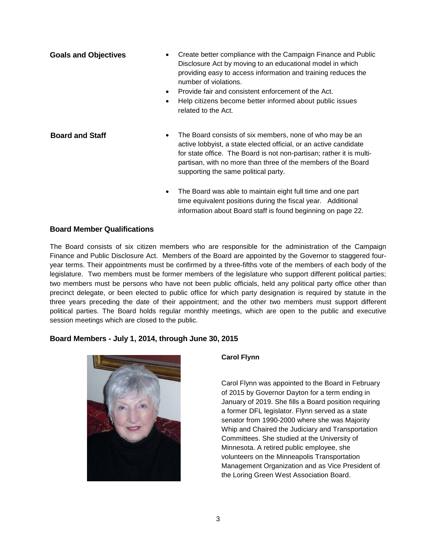| <b>Goals and Objectives</b> | Create better compliance with the Campaign Finance and Public<br>$\bullet$<br>Disclosure Act by moving to an educational model in which<br>providing easy to access information and training reduces the<br>number of violations.<br>Provide fair and consistent enforcement of the Act.<br>$\bullet$<br>Help citizens become better informed about public issues<br>$\bullet$<br>related to the Act. |
|-----------------------------|-------------------------------------------------------------------------------------------------------------------------------------------------------------------------------------------------------------------------------------------------------------------------------------------------------------------------------------------------------------------------------------------------------|
| <b>Board and Staff</b>      | The Board consists of six members, none of who may be an<br>$\bullet$<br>active lobbyist, a state elected official, or an active candidate<br>for state office. The Board is not non-partisan; rather it is multi-<br>partisan, with no more than three of the members of the Board<br>supporting the same political party.                                                                           |
|                             | The Board was able to maintain eight full time and one part<br>$\bullet$<br>time equivalent positions during the fiscal year. Additional<br>information about Board staff is found beginning on page 22.                                                                                                                                                                                              |

# <span id="page-6-0"></span>**Board Member Qualifications**

The Board consists of six citizen members who are responsible for the administration of the Campaign Finance and Public Disclosure Act. Members of the Board are appointed by the Governor to staggered fouryear terms. Their appointments must be confirmed by a three-fifths vote of the members of each body of the legislature. Two members must be former members of the legislature who support different political parties; two members must be persons who have not been public officials, held any political party office other than precinct delegate, or been elected to public office for which party designation is required by statute in the three years preceding the date of their appointment; and the other two members must support different political parties. The Board holds regular monthly meetings, which are open to the public and executive session meetings which are closed to the public.

# <span id="page-6-1"></span>**Board Members - July 1, 2014, through June 30, 2015**



### **Carol Flynn**

Carol Flynn was appointed to the Board in February of 2015 by Governor Dayton for a term ending in January of 2019. She fills a Board position requiring a former DFL legislator. Flynn served as a state senator from 1990-2000 where she was Majority Whip and Chaired the Judiciary and Transportation Committees. She studied at the University of Minnesota. A retired public employee, she volunteers on the Minneapolis Transportation Management Organization and as Vice President of the Loring Green West Association Board.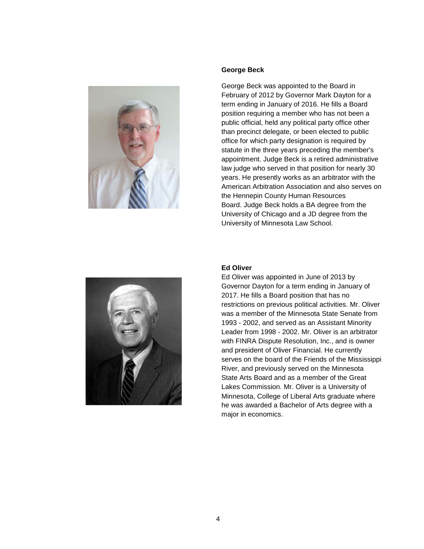

#### **George Beck**

George Beck was appointed to the Board in February of 2012 by Governor Mark Dayton for a term ending in January of 2016. He fills a Board position requiring a member who has not been a public official, held any political party office other than precinct delegate, or been elected to public office for which party designation is required by statute in the three years preceding the member's appointment. Judge Beck is a retired administrative law judge who served in that position for nearly 30 years. He presently works as an arbitrator with the American Arbitration Association and also serves on the Hennepin County Human Resources Board. Judge Beck holds a BA degree from the University of Chicago and a JD degree from the University of Minnesota Law School.



### **Ed Oliver**

Ed Oliver was appointed in June of 2013 by Governor Dayton for a term ending in January of 2017. He fills a Board position that has no restrictions on previous political activities. Mr. Oliver was a member of the Minnesota State Senate from 1993 - 2002, and served as an Assistant Minority Leader from 1998 - 2002. Mr. Oliver is an arbitrator with FINRA Dispute Resolution, Inc., and is owner and president of Oliver Financial. He currently serves on the board of the Friends of the Mississippi River, and previously served on the Minnesota State Arts Board and as a member of the Great Lakes Commission. Mr. Oliver is a University of Minnesota, College of Liberal Arts graduate where he was awarded a Bachelor of Arts degree with a major in economics.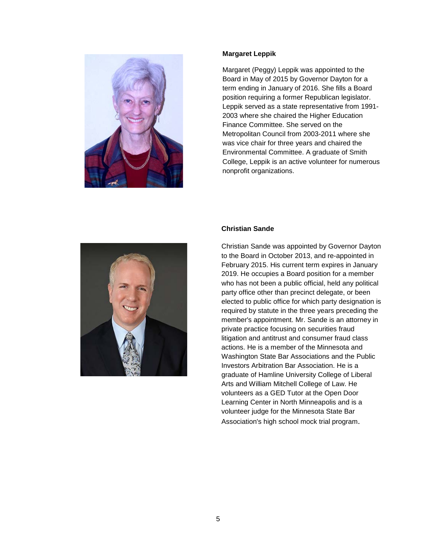

#### **Margaret Leppik**

Margaret (Peggy) Leppik was appointed to the Board in May of 2015 by Governor Dayton for a term ending in January of 2016. She fills a Board position requiring a former Republican legislator. Leppik served as a state representative from 1991- 2003 where she chaired the Higher Education Finance Committee. She served on the Metropolitan Council from 2003-2011 where she was vice chair for three years and chaired the Environmental Committee. A graduate of Smith College, Leppik is an active volunteer for numerous nonprofit organizations.



#### **Christian Sande**

Christian Sande was appointed by Governor Dayton to the Board in October 2013, and re-appointed in February 2015. His current term expires in January 2019. He occupies a Board position for a member who has not been a public official, held any political party office other than precinct delegate, or been elected to public office for which party designation is required by statute in the three years preceding the member's appointment. Mr. Sande is an attorney in private practice focusing on securities fraud litigation and antitrust and consumer fraud class actions. He is a member of the Minnesota and Washington State Bar Associations and the Public Investors Arbitration Bar Association. He is a graduate of Hamline University College of Liberal Arts and William Mitchell College of Law. He volunteers as a GED Tutor at the Open Door Learning Center in North Minneapolis and is a volunteer judge for the Minnesota State Bar Association's high school mock trial program.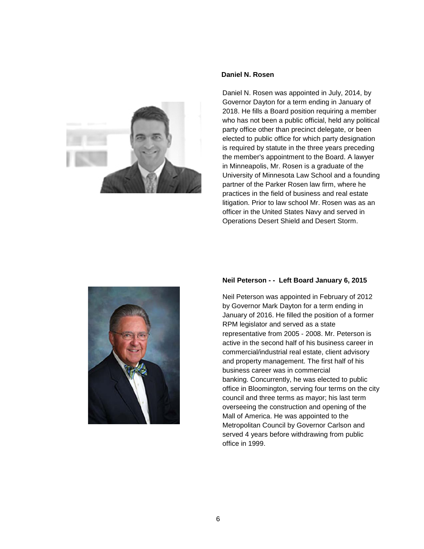

#### **Daniel N. Rosen**

Daniel N. Rosen was appointed in July, 2014, by Governor Dayton for a term ending in January of 2018. He fills a Board position requiring a member who has not been a public official, held any political party office other than precinct delegate, or been elected to public office for which party designation is required by statute in the three years preceding the member's appointment to the Board. A lawyer in Minneapolis, Mr. Rosen is a graduate of the University of Minnesota Law School and a founding partner of the Parker Rosen law firm, where he practices in the field of business and real estate litigation. Prior to law school Mr. Rosen was as an officer in the United States Navy and served in Operations Desert Shield and Desert Storm.



#### **Neil Peterson - - Left Board January 6, 2015**

Neil Peterson was appointed in February of 2012 by Governor Mark Dayton for a term ending in January of 2016. He filled the position of a former RPM legislator and served as a state representative from 2005 - 2008. Mr. Peterson is active in the second half of his business career in commercial/industrial real estate, client advisory and property management. The first half of his business career was in commercial banking. Concurrently, he was elected to public office in Bloomington, serving four terms on the city council and three terms as mayor; his last term overseeing the construction and opening of the Mall of America. He was appointed to the Metropolitan Council by Governor Carlson and served 4 years before withdrawing from public office in 1999.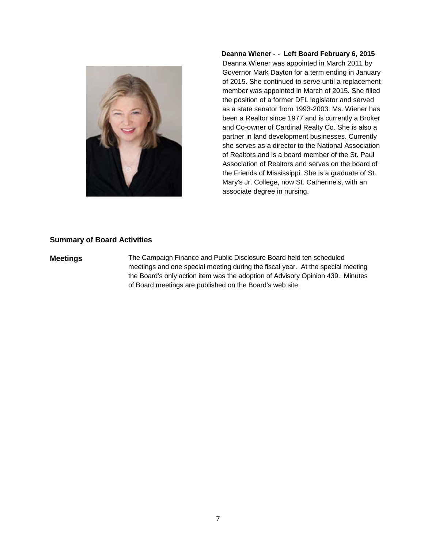

**Deanna Wiener - - Left Board February 6, 2015**

Deanna Wiener was appointed in March 2011 by Governor Mark Dayton for a term ending in January of 2015. She continued to serve until a replacement member was appointed in March of 2015. She filled the position of a former DFL legislator and served as a state senator from 1993-2003. Ms. Wiener has been a Realtor since 1977 and is currently a Broker and Co-owner of Cardinal Realty Co. She is also a partner in land development businesses. Currently she serves as a director to the National Association of Realtors and is a board member of the St. Paul Association of Realtors and serves on the board of the Friends of Mississippi. She is a graduate of St. Mary's Jr. College, now St. Catherine's, with an associate degree in nursing.

#### <span id="page-10-0"></span>**Summary of Board Activities**

**Meetings** The Campaign Finance and Public Disclosure Board held ten scheduled meetings and one special meeting during the fiscal year. At the special meeting the Board's only action item was the adoption of Advisory Opinion 439. Minutes of Board meetings are published on the Board's web site.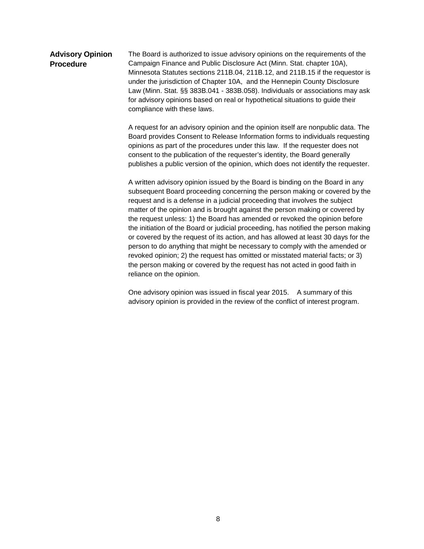#### **Advisory Opinion Procedure** The Board is authorized to issue advisory opinions on the requirements of the Campaign Finance and Public Disclosure Act (Minn. Stat. chapter 10A), Minnesota Statutes sections 211B.04, 211B.12, and 211B.15 if the requestor is under the jurisdiction of Chapter 10A, and the Hennepin County Disclosure Law (Minn. Stat. §§ 383B.041 - 383B.058). Individuals or associations may ask for advisory opinions based on real or hypothetical situations to guide their compliance with these laws.

A request for an advisory opinion and the opinion itself are nonpublic data. The Board provides Consent to Release Information forms to individuals requesting opinions as part of the procedures under this law. If the requester does not consent to the publication of the requester's identity, the Board generally publishes a public version of the opinion, which does not identify the requester.

A written advisory opinion issued by the Board is binding on the Board in any subsequent Board proceeding concerning the person making or covered by the request and is a defense in a judicial proceeding that involves the subject matter of the opinion and is brought against the person making or covered by the request unless: 1) the Board has amended or revoked the opinion before the initiation of the Board or judicial proceeding, has notified the person making or covered by the request of its action, and has allowed at least 30 days for the person to do anything that might be necessary to comply with the amended or revoked opinion; 2) the request has omitted or misstated material facts; or 3) the person making or covered by the request has not acted in good faith in reliance on the opinion.

One advisory opinion was issued in fiscal year 2015. A summary of this advisory opinion is provided in the review of the conflict of interest program.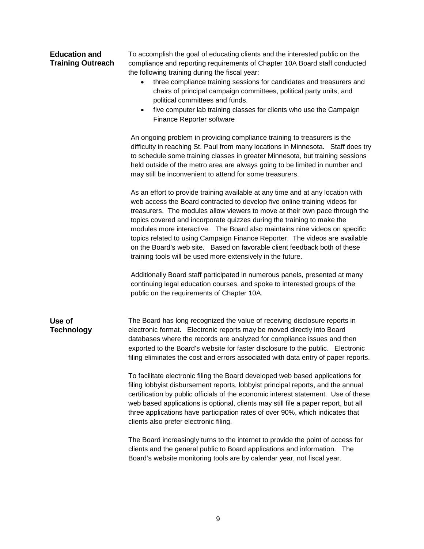## <span id="page-12-0"></span>**Education and Training Outreach**

To accomplish the goal of educating clients and the interested public on the compliance and reporting requirements of Chapter 10A Board staff conducted the following training during the fiscal year:

- three compliance training sessions for candidates and treasurers and chairs of principal campaign committees, political party units, and political committees and funds.
- five computer lab training classes for clients who use the Campaign Finance Reporter software

An ongoing problem in providing compliance training to treasurers is the difficulty in reaching St. Paul from many locations in Minnesota. Staff does try to schedule some training classes in greater Minnesota, but training sessions held outside of the metro area are always going to be limited in number and may still be inconvenient to attend for some treasurers.

As an effort to provide training available at any time and at any location with web access the Board contracted to develop five online training videos for treasurers. The modules allow viewers to move at their own pace through the topics covered and incorporate quizzes during the training to make the modules more interactive. The Board also maintains nine videos on specific topics related to using Campaign Finance Reporter. The videos are available on the Board's web site. Based on favorable client feedback both of these training tools will be used more extensively in the future.

Additionally Board staff participated in numerous panels, presented at many continuing legal education courses, and spoke to interested groups of the public on the requirements of Chapter 10A.

#### **Use of Technology** The Board has long recognized the value of receiving disclosure reports in electronic format. Electronic reports may be moved directly into Board databases where the records are analyzed for compliance issues and then exported to the Board's website for faster disclosure to the public. Electronic filing eliminates the cost and errors associated with data entry of paper reports.

To facilitate electronic filing the Board developed web based applications for filing lobbyist disbursement reports, lobbyist principal reports, and the annual certification by public officials of the economic interest statement. Use of these web based applications is optional, clients may still file a paper report, but all three applications have participation rates of over 90%, which indicates that clients also prefer electronic filing.

The Board increasingly turns to the internet to provide the point of access for clients and the general public to Board applications and information. The Board's website monitoring tools are by calendar year, not fiscal year.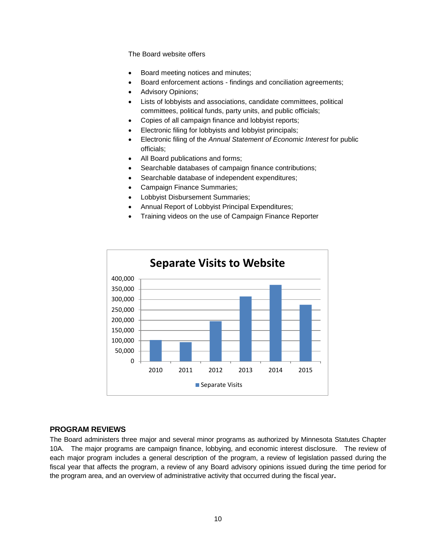The Board website offers

- Board meeting notices and minutes;
- Board enforcement actions findings and conciliation agreements;
- Advisory Opinions;
- Lists of lobbyists and associations, candidate committees, political committees, political funds, party units, and public officials;
- Copies of all campaign finance and lobbyist reports;
- Electronic filing for lobbyists and lobbyist principals;
- Electronic filing of the *Annual Statement of Economic Interest* for public officials;
- All Board publications and forms;
- Searchable databases of campaign finance contributions;
- Searchable database of independent expenditures;
- Campaign Finance Summaries;
- Lobbyist Disbursement Summaries;
- Annual Report of Lobbyist Principal Expenditures;
- Training videos on the use of Campaign Finance Reporter



### <span id="page-13-0"></span>**PROGRAM REVIEWS**

The Board administers three major and several minor programs as authorized by Minnesota Statutes Chapter 10A. The major programs are campaign finance, lobbying, and economic interest disclosure. The review of each major program includes a general description of the program, a review of legislation passed during the fiscal year that affects the program, a review of any Board advisory opinions issued during the time period for the program area, and an overview of administrative activity that occurred during the fiscal year**.**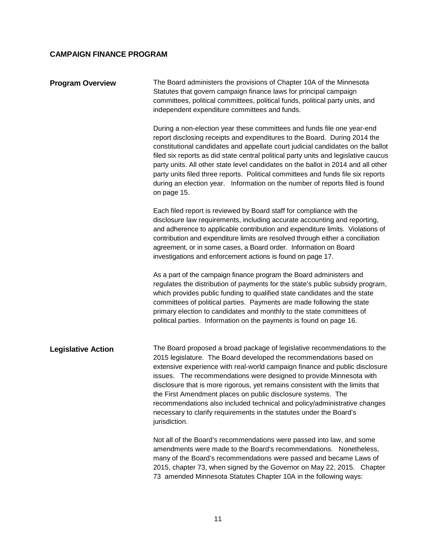# <span id="page-14-0"></span>**CAMPAIGN FINANCE PROGRAM**

<span id="page-14-2"></span><span id="page-14-1"></span>

| <b>Program Overview</b>   | The Board administers the provisions of Chapter 10A of the Minnesota<br>Statutes that govern campaign finance laws for principal campaign<br>committees, political committees, political funds, political party units, and<br>independent expenditure committees and funds.                                                                                                                                                                                                                                                                                                                                                |
|---------------------------|----------------------------------------------------------------------------------------------------------------------------------------------------------------------------------------------------------------------------------------------------------------------------------------------------------------------------------------------------------------------------------------------------------------------------------------------------------------------------------------------------------------------------------------------------------------------------------------------------------------------------|
|                           | During a non-election year these committees and funds file one year-end<br>report disclosing receipts and expenditures to the Board. During 2014 the<br>constitutional candidates and appellate court judicial candidates on the ballot<br>filed six reports as did state central political party units and legislative caucus<br>party units. All other state level candidates on the ballot in 2014 and all other<br>party units filed three reports. Political committees and funds file six reports<br>during an election year. Information on the number of reports filed is found<br>on page 15.                     |
|                           | Each filed report is reviewed by Board staff for compliance with the<br>disclosure law requirements, including accurate accounting and reporting,<br>and adherence to applicable contribution and expenditure limits. Violations of<br>contribution and expenditure limits are resolved through either a conciliation<br>agreement, or in some cases, a Board order. Information on Board<br>investigations and enforcement actions is found on page 17.                                                                                                                                                                   |
|                           | As a part of the campaign finance program the Board administers and<br>regulates the distribution of payments for the state's public subsidy program,<br>which provides public funding to qualified state candidates and the state<br>committees of political parties. Payments are made following the state<br>primary election to candidates and monthly to the state committees of<br>political parties. Information on the payments is found on page 16.                                                                                                                                                               |
| <b>Legislative Action</b> | The Board proposed a broad package of legislative recommendations to the<br>2015 legislature. The Board developed the recommendations based on<br>extensive experience with real-world campaign finance and public disclosure<br>issues. The recommendations were designed to provide Minnesota with<br>disclosure that is more rigorous, yet remains consistent with the limits that<br>the First Amendment places on public disclosure systems. The<br>recommendations also included technical and policy/administrative changes<br>necessary to clarify requirements in the statutes under the Board's<br>jurisdiction. |
|                           | Not all of the Board's recommendations were passed into law, and some<br>amendments were made to the Board's recommendations. Nonetheless,<br>many of the Board's recommendations were passed and became Laws of<br>2015, chapter 73, when signed by the Governor on May 22, 2015. Chapter<br>73 amended Minnesota Statutes Chapter 10A in the following ways:                                                                                                                                                                                                                                                             |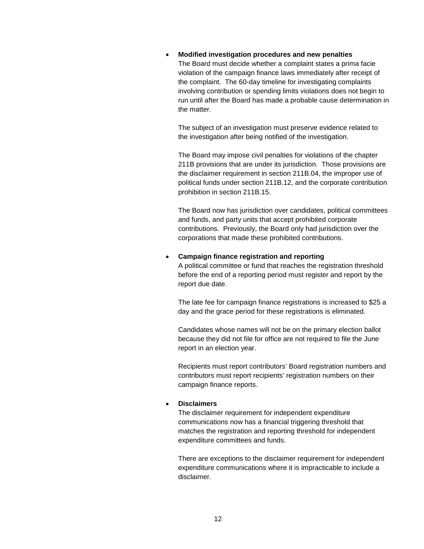• **Modified investigation procedures and new penalties** The Board must decide whether a complaint states a prima facie violation of the campaign finance laws immediately after receipt of the complaint. The 60-day timeline for investigating complaints involving contribution or spending limits violations does not begin to run until after the Board has made a probable cause determination in the matter.

The subject of an investigation must preserve evidence related to the investigation after being notified of the investigation.

The Board may impose civil penalties for violations of the chapter 211B provisions that are under its jurisdiction. Those provisions are the disclaimer requirement in section 211B.04, the improper use of political funds under section 211B.12, and the corporate contribution prohibition in section 211B.15.

The Board now has jurisdiction over candidates, political committees and funds, and party units that accept prohibited corporate contributions. Previously, the Board only had jurisdiction over the corporations that made these prohibited contributions.

#### • **Campaign finance registration and reporting**

A political committee or fund that reaches the registration threshold before the end of a reporting period must register and report by the report due date.

The late fee for campaign finance registrations is increased to \$25 a day and the grace period for these registrations is eliminated.

Candidates whose names will not be on the primary election ballot because they did not file for office are not required to file the June report in an election year.

Recipients must report contributors' Board registration numbers and contributors must report recipients' registration numbers on their campaign finance reports.

#### • **Disclaimers**

The disclaimer requirement for independent expenditure communications now has a financial triggering threshold that matches the registration and reporting threshold for independent expenditure committees and funds.

There are exceptions to the disclaimer requirement for independent expenditure communications where it is impracticable to include a disclaimer.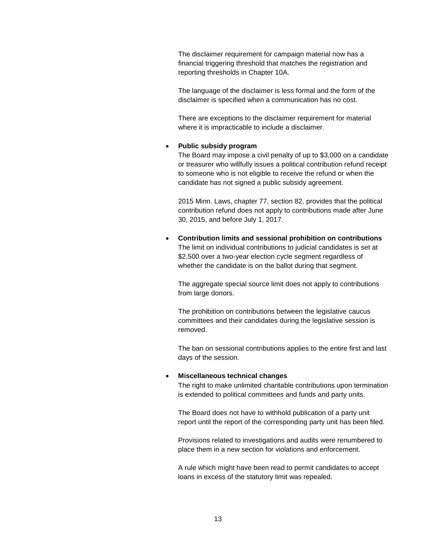The disclaimer requirement for campaign material now has a financial triggering threshold that matches the registration and reporting thresholds in Chapter 10A.

The language of the disclaimer is less formal and the form of the disclaimer is specified when a communication has no cost.

There are exceptions to the disclaimer requirement for material where it is impracticable to include a disclaimer.

#### • **Public subsidy program**

The Board may impose a civil penalty of up to \$3,000 on a candidate or treasurer who willfully issues a political contribution refund receipt to someone who is not eligible to receive the refund or when the candidate has not signed a public subsidy agreement.

2015 Minn. Laws, chapter 77, section 82, provides that the political contribution refund does not apply to contributions made after June 30, 2015, and before July 1, 2017.

• **Contribution limits and sessional prohibition on contributions** The limit on individual contributions to judicial candidates is set at \$2,500 over a two-year election cycle segment regardless of whether the candidate is on the ballot during that segment.

The aggregate special source limit does not apply to contributions from large donors.

The prohibition on contributions between the legislative caucus committees and their candidates during the legislative session is removed.

The ban on sessional contributions applies to the entire first and last days of the session.

#### • **Miscellaneous technical changes**

The right to make unlimited charitable contributions upon termination is extended to political committees and funds and party units.

The Board does not have to withhold publication of a party unit report until the report of the corresponding party unit has been filed.

Provisions related to investigations and audits were renumbered to place them in a new section for violations and enforcement.

A rule which might have been read to permit candidates to accept loans in excess of the statutory limit was repealed.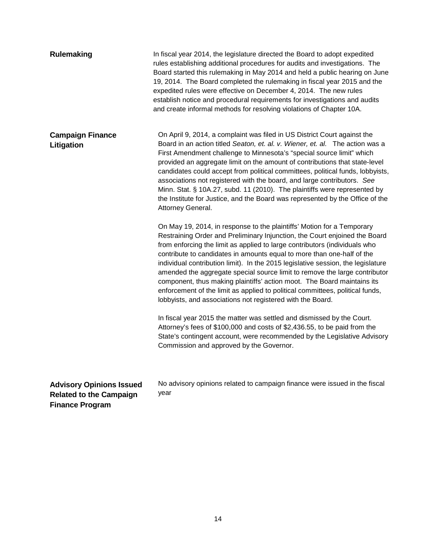<span id="page-17-1"></span><span id="page-17-0"></span>

| <b>Rulemaking</b>                                                                           | In fiscal year 2014, the legislature directed the Board to adopt expedited<br>rules establishing additional procedures for audits and investigations. The<br>Board started this rulemaking in May 2014 and held a public hearing on June<br>19, 2014. The Board completed the rulemaking in fiscal year 2015 and the<br>expedited rules were effective on December 4, 2014. The new rules<br>establish notice and procedural requirements for investigations and audits<br>and create informal methods for resolving violations of Chapter 10A.                                                                                                                                                          |
|---------------------------------------------------------------------------------------------|----------------------------------------------------------------------------------------------------------------------------------------------------------------------------------------------------------------------------------------------------------------------------------------------------------------------------------------------------------------------------------------------------------------------------------------------------------------------------------------------------------------------------------------------------------------------------------------------------------------------------------------------------------------------------------------------------------|
| <b>Campaign Finance</b><br>Litigation                                                       | On April 9, 2014, a complaint was filed in US District Court against the<br>Board in an action titled Seaton, et. al. v. Wiener, et. al. The action was a<br>First Amendment challenge to Minnesota's "special source limit" which<br>provided an aggregate limit on the amount of contributions that state-level<br>candidates could accept from political committees, political funds, lobbyists,<br>associations not registered with the board, and large contributors. See<br>Minn. Stat. § 10A.27, subd. 11 (2010). The plaintiffs were represented by<br>the Institute for Justice, and the Board was represented by the Office of the<br>Attorney General.                                        |
|                                                                                             | On May 19, 2014, in response to the plaintiffs' Motion for a Temporary<br>Restraining Order and Preliminary Injunction, the Court enjoined the Board<br>from enforcing the limit as applied to large contributors (individuals who<br>contribute to candidates in amounts equal to more than one-half of the<br>individual contribution limit). In the 2015 legislative session, the legislature<br>amended the aggregate special source limit to remove the large contributor<br>component, thus making plaintiffs' action moot. The Board maintains its<br>enforcement of the limit as applied to political committees, political funds,<br>lobbyists, and associations not registered with the Board. |
|                                                                                             | In fiscal year 2015 the matter was settled and dismissed by the Court.<br>Attorney's fees of \$100,000 and costs of \$2,436.55, to be paid from the<br>State's contingent account, were recommended by the Legislative Advisory<br>Commission and approved by the Governor.                                                                                                                                                                                                                                                                                                                                                                                                                              |
| <b>Advisory Opinions Issued</b><br><b>Related to the Campaign</b><br><b>Finance Program</b> | No advisory opinions related to campaign finance were issued in the fiscal<br>year                                                                                                                                                                                                                                                                                                                                                                                                                                                                                                                                                                                                                       |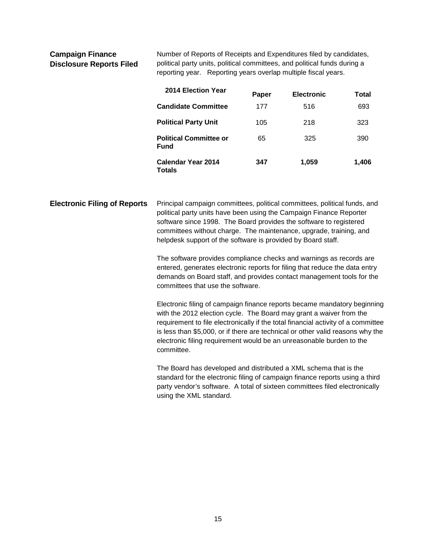<span id="page-18-0"></span>**Campaign Finance Disclosure Reports Filed**  Number of Reports of Receipts and Expenditures filed by candidates, political party units, political committees, and political funds during a reporting year. Reporting years overlap multiple fiscal years.

| 2014 Election Year                           | Paper | <b>Electronic</b> | Total |
|----------------------------------------------|-------|-------------------|-------|
| <b>Candidate Committee</b>                   | 177   | 516               | 693   |
| <b>Political Party Unit</b>                  | 105   | 218               | 323   |
| <b>Political Committee or</b><br><b>Fund</b> | 65    | 325               | 390   |
| Calendar Year 2014<br><b>Totals</b>          | 347   | 1,059             | 1,406 |

<span id="page-18-1"></span>**Electronic Filing of Reports** Principal campaign committees, political committees, political funds, and political party units have been using the Campaign Finance Reporter software since 1998. The Board provides the software to registered committees without charge. The maintenance, upgrade, training, and helpdesk support of the software is provided by Board staff.

> The software provides compliance checks and warnings as records are entered, generates electronic reports for filing that reduce the data entry demands on Board staff, and provides contact management tools for the committees that use the software.

Electronic filing of campaign finance reports became mandatory beginning with the 2012 election cycle. The Board may grant a waiver from the requirement to file electronically if the total financial activity of a committee is less than \$5,000, or if there are technical or other valid reasons why the electronic filing requirement would be an unreasonable burden to the committee.

The Board has developed and distributed a XML schema that is the standard for the electronic filing of campaign finance reports using a third party vendor's software. A total of sixteen committees filed electronically using the XML standard.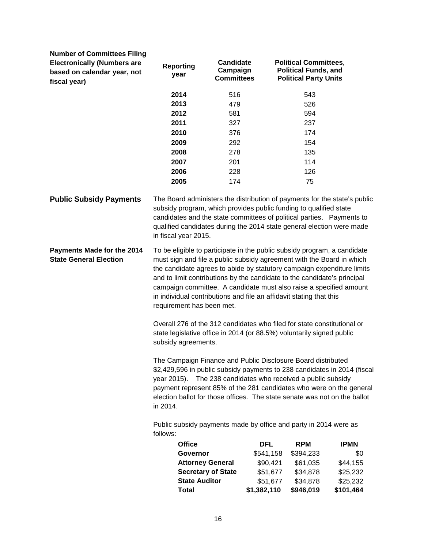<span id="page-19-0"></span>

| <b>Number of Committees Filing</b><br><b>Electronically (Numbers are</b><br>based on calendar year, not<br>fiscal year) | <b>Reporting</b><br>year  | <b>Candidate</b><br>Campaign<br><b>Committees</b>                                                                                                                                                                                                                                                                                                                                                                                                    |            | <b>Political Committees,</b><br><b>Political Funds, and</b><br><b>Political Party Units</b> |             |
|-------------------------------------------------------------------------------------------------------------------------|---------------------------|------------------------------------------------------------------------------------------------------------------------------------------------------------------------------------------------------------------------------------------------------------------------------------------------------------------------------------------------------------------------------------------------------------------------------------------------------|------------|---------------------------------------------------------------------------------------------|-------------|
|                                                                                                                         | 2014                      | 516                                                                                                                                                                                                                                                                                                                                                                                                                                                  |            | 543                                                                                         |             |
|                                                                                                                         | 2013                      | 479                                                                                                                                                                                                                                                                                                                                                                                                                                                  |            | 526                                                                                         |             |
|                                                                                                                         | 2012                      | 581                                                                                                                                                                                                                                                                                                                                                                                                                                                  |            | 594                                                                                         |             |
|                                                                                                                         | 2011                      | 327                                                                                                                                                                                                                                                                                                                                                                                                                                                  |            | 237                                                                                         |             |
|                                                                                                                         | 2010                      | 376                                                                                                                                                                                                                                                                                                                                                                                                                                                  |            | 174                                                                                         |             |
|                                                                                                                         | 2009                      | 292                                                                                                                                                                                                                                                                                                                                                                                                                                                  |            | 154                                                                                         |             |
|                                                                                                                         | 2008                      | 278                                                                                                                                                                                                                                                                                                                                                                                                                                                  |            | 135                                                                                         |             |
|                                                                                                                         | 2007                      | 201                                                                                                                                                                                                                                                                                                                                                                                                                                                  |            | 114                                                                                         |             |
|                                                                                                                         | 2006                      | 228                                                                                                                                                                                                                                                                                                                                                                                                                                                  |            | 126                                                                                         |             |
|                                                                                                                         | 2005                      | 174                                                                                                                                                                                                                                                                                                                                                                                                                                                  |            | 75                                                                                          |             |
| <b>Public Subsidy Payments</b>                                                                                          | in fiscal year 2015.      | The Board administers the distribution of payments for the state's public<br>subsidy program, which provides public funding to qualified state<br>candidates and the state committees of political parties.  Payments to<br>qualified candidates during the 2014 state general election were made                                                                                                                                                    |            |                                                                                             |             |
| Payments Made for the 2014<br><b>State General Election</b>                                                             | requirement has been met. | To be eligible to participate in the public subsidy program, a candidate<br>must sign and file a public subsidy agreement with the Board in which<br>the candidate agrees to abide by statutory campaign expenditure limits<br>and to limit contributions by the candidate to the candidate's principal<br>campaign committee. A candidate must also raise a specified amount<br>in individual contributions and file an affidavit stating that this |            |                                                                                             |             |
|                                                                                                                         | subsidy agreements.       | Overall 276 of the 312 candidates who filed for state constitutional or<br>state legislative office in 2014 (or 88.5%) voluntarily signed public                                                                                                                                                                                                                                                                                                     |            |                                                                                             |             |
|                                                                                                                         | year 2015).<br>in 2014.   | The Campaign Finance and Public Disclosure Board distributed<br>\$2,429,596 in public subsidy payments to 238 candidates in 2014 (fiscal<br>The 238 candidates who received a public subsidy<br>payment represent 85% of the 281 candidates who were on the general<br>election ballot for those offices. The state senate was not on the ballot                                                                                                     |            |                                                                                             |             |
|                                                                                                                         | follows:                  | Public subsidy payments made by office and party in 2014 were as                                                                                                                                                                                                                                                                                                                                                                                     |            |                                                                                             |             |
|                                                                                                                         | <b>Office</b>             |                                                                                                                                                                                                                                                                                                                                                                                                                                                      | <b>DFL</b> | <b>RPM</b>                                                                                  | <b>IPMN</b> |
|                                                                                                                         | Governor                  |                                                                                                                                                                                                                                                                                                                                                                                                                                                      | \$541,158  | \$394,233                                                                                   | \$0         |
|                                                                                                                         |                           | <b>Attorney General</b>                                                                                                                                                                                                                                                                                                                                                                                                                              | \$90,421   | \$61,035                                                                                    | \$44,155    |
|                                                                                                                         |                           | <b>Secretary of State</b>                                                                                                                                                                                                                                                                                                                                                                                                                            | \$51,677   | \$34,878                                                                                    | \$25,232    |
|                                                                                                                         | <b>State Auditor</b>      |                                                                                                                                                                                                                                                                                                                                                                                                                                                      | \$51,677   | \$34,878                                                                                    | \$25,232    |

**State Auditor** \$51,677 \$34,878 \$25,232<br>**Total** \$1,382,110 \$946,019 \$101,464  $$1,382,110$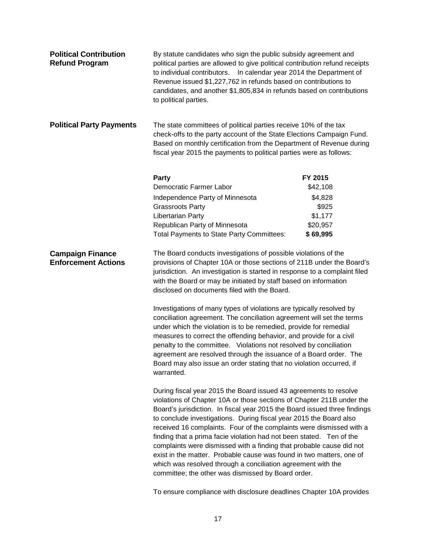<span id="page-20-2"></span><span id="page-20-1"></span><span id="page-20-0"></span>

| <b>Political Contribution</b><br><b>Refund Program</b> | By statute candidates who sign the public subsidy agreement and<br>political parties are allowed to give political contribution refund receipts<br>In calendar year 2014 the Department of<br>to individual contributors.<br>Revenue issued \$1,227,762 in refunds based on contributions to<br>candidates, and another \$1,805,834 in refunds based on contributions<br>to political parties.                                                                                                                                                                                                                                                                                                                      |          |  |
|--------------------------------------------------------|---------------------------------------------------------------------------------------------------------------------------------------------------------------------------------------------------------------------------------------------------------------------------------------------------------------------------------------------------------------------------------------------------------------------------------------------------------------------------------------------------------------------------------------------------------------------------------------------------------------------------------------------------------------------------------------------------------------------|----------|--|
| <b>Political Party Payments</b>                        | The state committees of political parties receive 10% of the tax<br>check-offs to the party account of the State Elections Campaign Fund.<br>Based on monthly certification from the Department of Revenue during<br>fiscal year 2015 the payments to political parties were as follows:                                                                                                                                                                                                                                                                                                                                                                                                                            |          |  |
|                                                        | <b>Party</b>                                                                                                                                                                                                                                                                                                                                                                                                                                                                                                                                                                                                                                                                                                        | FY 2015  |  |
|                                                        | Democratic Farmer Labor                                                                                                                                                                                                                                                                                                                                                                                                                                                                                                                                                                                                                                                                                             | \$42,108 |  |
|                                                        | Independence Party of Minnesota                                                                                                                                                                                                                                                                                                                                                                                                                                                                                                                                                                                                                                                                                     | \$4,828  |  |
|                                                        | <b>Grassroots Party</b>                                                                                                                                                                                                                                                                                                                                                                                                                                                                                                                                                                                                                                                                                             | \$925    |  |
|                                                        | Libertarian Party                                                                                                                                                                                                                                                                                                                                                                                                                                                                                                                                                                                                                                                                                                   | \$1,177  |  |
|                                                        | Republican Party of Minnesota                                                                                                                                                                                                                                                                                                                                                                                                                                                                                                                                                                                                                                                                                       | \$20,957 |  |
|                                                        | <b>Total Payments to State Party Committees:</b>                                                                                                                                                                                                                                                                                                                                                                                                                                                                                                                                                                                                                                                                    | \$69,995 |  |
| <b>Campaign Finance</b><br><b>Enforcement Actions</b>  | The Board conducts investigations of possible violations of the<br>provisions of Chapter 10A or those sections of 211B under the Board's<br>jurisdiction. An investigation is started in response to a complaint filed<br>with the Board or may be initiated by staff based on information<br>disclosed on documents filed with the Board.                                                                                                                                                                                                                                                                                                                                                                          |          |  |
|                                                        | Investigations of many types of violations are typically resolved by<br>conciliation agreement. The conciliation agreement will set the terms<br>under which the violation is to be remedied, provide for remedial<br>measures to correct the offending behavior, and provide for a civil<br>penalty to the committee. Violations not resolved by conciliation<br>agreement are resolved through the issuance of a Board order. The<br>Board may also issue an order stating that no violation occurred, if<br>warranted.                                                                                                                                                                                           |          |  |
|                                                        | During fiscal year 2015 the Board issued 43 agreements to resolve<br>violations of Chapter 10A or those sections of Chapter 211B under the<br>Board's jurisdiction. In fiscal year 2015 the Board issued three findings<br>to conclude investigations. During fiscal year 2015 the Board also<br>received 16 complaints. Four of the complaints were dismissed with a<br>finding that a prima facie violation had not been stated. Ten of the<br>complaints were dismissed with a finding that probable cause did not<br>exist in the matter. Probable cause was found in two matters, one of<br>which was resolved through a conciliation agreement with the<br>committee; the other was dismissed by Board order. |          |  |

To ensure compliance with disclosure deadlines Chapter 10A provides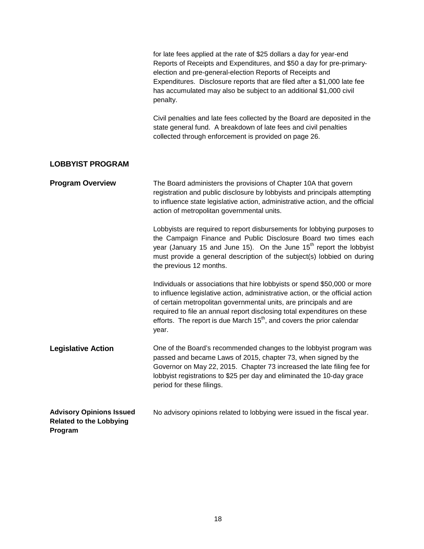<span id="page-21-2"></span><span id="page-21-1"></span><span id="page-21-0"></span>

|                                                                              | for late fees applied at the rate of \$25 dollars a day for year-end<br>Reports of Receipts and Expenditures, and \$50 a day for pre-primary-<br>election and pre-general-election Reports of Receipts and<br>Expenditures. Disclosure reports that are filed after a \$1,000 late fee<br>has accumulated may also be subject to an additional \$1,000 civil<br>penalty.                          |
|------------------------------------------------------------------------------|---------------------------------------------------------------------------------------------------------------------------------------------------------------------------------------------------------------------------------------------------------------------------------------------------------------------------------------------------------------------------------------------------|
|                                                                              | Civil penalties and late fees collected by the Board are deposited in the<br>state general fund. A breakdown of late fees and civil penalties<br>collected through enforcement is provided on page 26.                                                                                                                                                                                            |
| <b>LOBBYIST PROGRAM</b>                                                      |                                                                                                                                                                                                                                                                                                                                                                                                   |
| <b>Program Overview</b>                                                      | The Board administers the provisions of Chapter 10A that govern<br>registration and public disclosure by lobbyists and principals attempting<br>to influence state legislative action, administrative action, and the official<br>action of metropolitan governmental units.                                                                                                                      |
|                                                                              | Lobbyists are required to report disbursements for lobbying purposes to<br>the Campaign Finance and Public Disclosure Board two times each<br>year (January 15 and June 15). On the June 15 <sup>th</sup> report the lobbyist<br>must provide a general description of the subject(s) lobbied on during<br>the previous 12 months.                                                                |
|                                                                              | Individuals or associations that hire lobbyists or spend \$50,000 or more<br>to influence legislative action, administrative action, or the official action<br>of certain metropolitan governmental units, are principals and are<br>required to file an annual report disclosing total expenditures on these<br>efforts. The report is due March $15th$ , and covers the prior calendar<br>year. |
| <b>Legislative Action</b>                                                    | One of the Board's recommended changes to the lobbyist program was<br>passed and became Laws of 2015, chapter 73, when signed by the<br>Governor on May 22, 2015. Chapter 73 increased the late filing fee for<br>lobbyist registrations to \$25 per day and eliminated the 10-day grace<br>period for these filings.                                                                             |
| <b>Advisory Opinions Issued</b><br><b>Related to the Lobbying</b><br>Program | No advisory opinions related to lobbying were issued in the fiscal year.                                                                                                                                                                                                                                                                                                                          |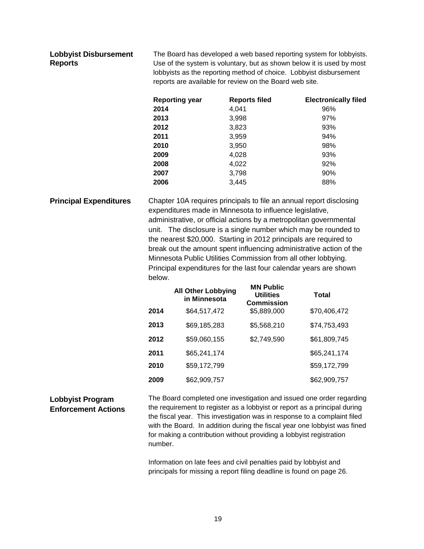### <span id="page-22-0"></span>**Lobbyist Disbursement Reports**

The Board has developed a web based reporting system for lobbyists. Use of the system is voluntary, but as shown below it is used by most lobbyists as the reporting method of choice. Lobbyist disbursement reports are available for review on the Board web site.

| <b>Reporting year</b> | <b>Reports filed</b> | <b>Electronically filed</b> |
|-----------------------|----------------------|-----------------------------|
| 2014                  | 4,041                | 96%                         |
| 2013                  | 3,998                | 97%                         |
| 2012                  | 3,823                | 93%                         |
| 2011                  | 3,959                | 94%                         |
| 2010                  | 3,950                | 98%                         |
| 2009                  | 4,028                | 93%                         |
| 2008                  | 4,022                | 92%                         |
| 2007                  | 3,798                | 90%                         |
| 2006                  | 3,445                | 88%                         |

<span id="page-22-1"></span>**Principal Expenditures** Chapter 10A requires principals to file an annual report disclosing expenditures made in Minnesota to influence legislative, administrative, or official actions by a metropolitan governmental unit. The disclosure is a single number which may be rounded to the nearest \$20,000. Starting in 2012 principals are required to break out the amount spent influencing administrative action of the Minnesota Public Utilities Commission from all other lobbying. Principal expenditures for the last four calendar years are shown below.

|      | <b>All Other Lobbying</b><br>in Minnesota | <b>MN Public</b><br><b>Utilities</b><br><b>Commission</b> | <b>Total</b> |
|------|-------------------------------------------|-----------------------------------------------------------|--------------|
| 2014 | \$64,517,472                              | \$5,889,000                                               | \$70,406,472 |
| 2013 | \$69,185,283                              | \$5,568,210                                               | \$74,753,493 |
| 2012 | \$59,060,155                              | \$2,749,590                                               | \$61,809,745 |
| 2011 | \$65,241,174                              |                                                           | \$65,241,174 |
| 2010 | \$59,172,799                              |                                                           | \$59,172,799 |
| 2009 | \$62,909,757                              |                                                           | \$62,909,757 |

# <span id="page-22-2"></span>**Lobbyist Program Enforcement Actions**

The Board completed one investigation and issued one order regarding the requirement to register as a lobbyist or report as a principal during the fiscal year. This investigation was in response to a complaint filed with the Board. In addition during the fiscal year one lobbyist was fined for making a contribution without providing a lobbyist registration number.

Information on late fees and civil penalties paid by lobbyist and principals for missing a report filing deadline is found on page 26.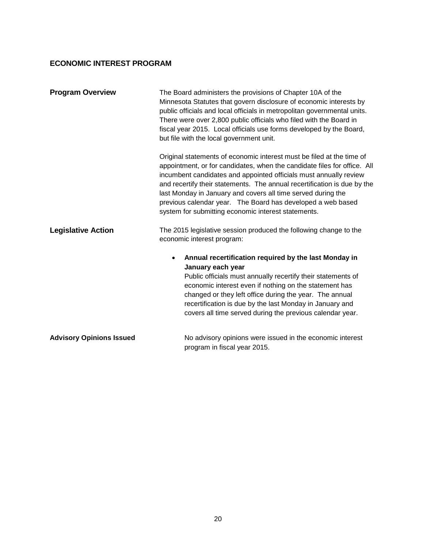# <span id="page-23-0"></span>**ECONOMIC INTEREST PROGRAM**

<span id="page-23-2"></span><span id="page-23-1"></span>

| <b>Program Overview</b>         | The Board administers the provisions of Chapter 10A of the<br>Minnesota Statutes that govern disclosure of economic interests by<br>public officials and local officials in metropolitan governmental units.<br>There were over 2,800 public officials who filed with the Board in<br>fiscal year 2015. Local officials use forms developed by the Board,<br>but file with the local government unit.<br>Original statements of economic interest must be filed at the time of |
|---------------------------------|--------------------------------------------------------------------------------------------------------------------------------------------------------------------------------------------------------------------------------------------------------------------------------------------------------------------------------------------------------------------------------------------------------------------------------------------------------------------------------|
|                                 | appointment, or for candidates, when the candidate files for office. All<br>incumbent candidates and appointed officials must annually review<br>and recertify their statements. The annual recertification is due by the<br>last Monday in January and covers all time served during the<br>previous calendar year. The Board has developed a web based<br>system for submitting economic interest statements.                                                                |
| <b>Legislative Action</b>       | The 2015 legislative session produced the following change to the<br>economic interest program:                                                                                                                                                                                                                                                                                                                                                                                |
|                                 | Annual recertification required by the last Monday in<br>$\bullet$<br>January each year<br>Public officials must annually recertify their statements of<br>economic interest even if nothing on the statement has<br>changed or they left office during the year. The annual<br>recertification is due by the last Monday in January and<br>covers all time served during the previous calendar year.                                                                          |
| <b>Advisory Opinions Issued</b> | No advisory opinions were issued in the economic interest<br>program in fiscal year 2015.                                                                                                                                                                                                                                                                                                                                                                                      |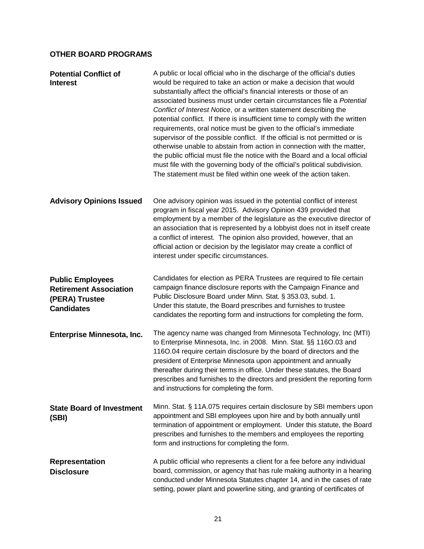# <span id="page-24-0"></span>**OTHER BOARD PROGRAMS**

<span id="page-24-2"></span><span id="page-24-1"></span>

| <b>Potential Conflict of</b><br><b>Interest</b>                                                 | A public or local official who in the discharge of the official's duties<br>would be required to take an action or make a decision that would<br>substantially affect the official's financial interests or those of an<br>associated business must under certain circumstances file a Potential<br>Conflict of Interest Notice, or a written statement describing the<br>potential conflict. If there is insufficient time to comply with the written<br>requirements, oral notice must be given to the official's immediate<br>supervisor of the possible conflict. If the official is not permitted or is<br>otherwise unable to abstain from action in connection with the matter,<br>the public official must file the notice with the Board and a local official<br>must file with the governing body of the official's political subdivision.<br>The statement must be filed within one week of the action taken. |
|-------------------------------------------------------------------------------------------------|--------------------------------------------------------------------------------------------------------------------------------------------------------------------------------------------------------------------------------------------------------------------------------------------------------------------------------------------------------------------------------------------------------------------------------------------------------------------------------------------------------------------------------------------------------------------------------------------------------------------------------------------------------------------------------------------------------------------------------------------------------------------------------------------------------------------------------------------------------------------------------------------------------------------------|
| <b>Advisory Opinions Issued</b>                                                                 | One advisory opinion was issued in the potential conflict of interest<br>program in fiscal year 2015. Advisory Opinion 439 provided that<br>employment by a member of the legislature as the executive director of<br>an association that is represented by a lobbyist does not in itself create<br>a conflict of interest. The opinion also provided, however, that an<br>official action or decision by the legislator may create a conflict of<br>interest under specific circumstances.                                                                                                                                                                                                                                                                                                                                                                                                                              |
| <b>Public Employees</b><br><b>Retirement Association</b><br>(PERA) Trustee<br><b>Candidates</b> | Candidates for election as PERA Trustees are required to file certain<br>campaign finance disclosure reports with the Campaign Finance and<br>Public Disclosure Board under Minn. Stat. § 353.03, subd. 1.<br>Under this statute, the Board prescribes and furnishes to trustee<br>candidates the reporting form and instructions for completing the form.                                                                                                                                                                                                                                                                                                                                                                                                                                                                                                                                                               |
| Enterprise Minnesota, Inc.                                                                      | The agency name was changed from Minnesota Technology, Inc (MTI)<br>to Enterprise Minnesota, Inc. in 2008. Minn. Stat. §§ 116O.03 and<br>116O.04 require certain disclosure by the board of directors and the<br>president of Enterprise Minnesota upon appointment and annually<br>thereafter during their terms in office. Under these statutes, the Board<br>prescribes and furnishes to the directors and president the reporting form<br>and instructions for completing the form.                                                                                                                                                                                                                                                                                                                                                                                                                                  |
| <b>State Board of Investment</b><br>(SBI)                                                       | Minn. Stat. § 11A.075 requires certain disclosure by SBI members upon<br>appointment and SBI employees upon hire and by both annually until<br>termination of appointment or employment. Under this statute, the Board<br>prescribes and furnishes to the members and employees the reporting<br>form and instructions for completing the form.                                                                                                                                                                                                                                                                                                                                                                                                                                                                                                                                                                          |
| <b>Representation</b><br><b>Disclosure</b>                                                      | A public official who represents a client for a fee before any individual<br>board, commission, or agency that has rule making authority in a hearing<br>conducted under Minnesota Statutes chapter 14, and in the cases of rate<br>setting, power plant and powerline siting, and granting of certificates of                                                                                                                                                                                                                                                                                                                                                                                                                                                                                                                                                                                                           |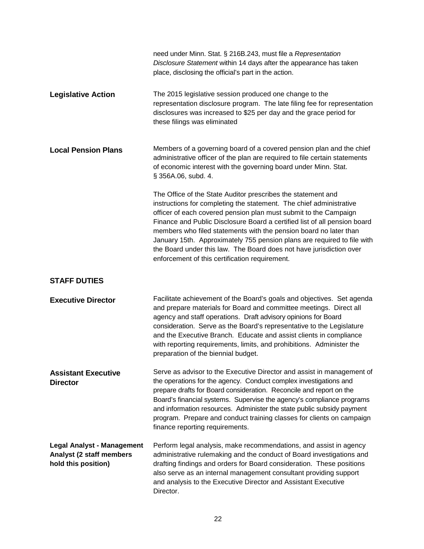<span id="page-25-0"></span>

|                                                                                      | need under Minn. Stat. § 216B.243, must file a Representation<br>Disclosure Statement within 14 days after the appearance has taken<br>place, disclosing the official's part in the action.                                                                                                                                                                                                                                                                                                                                                                   |
|--------------------------------------------------------------------------------------|---------------------------------------------------------------------------------------------------------------------------------------------------------------------------------------------------------------------------------------------------------------------------------------------------------------------------------------------------------------------------------------------------------------------------------------------------------------------------------------------------------------------------------------------------------------|
| <b>Legislative Action</b>                                                            | The 2015 legislative session produced one change to the<br>representation disclosure program. The late filing fee for representation<br>disclosures was increased to \$25 per day and the grace period for<br>these filings was eliminated                                                                                                                                                                                                                                                                                                                    |
| <b>Local Pension Plans</b>                                                           | Members of a governing board of a covered pension plan and the chief<br>administrative officer of the plan are required to file certain statements<br>of economic interest with the governing board under Minn. Stat.<br>§ 356A.06, subd. 4.                                                                                                                                                                                                                                                                                                                  |
|                                                                                      | The Office of the State Auditor prescribes the statement and<br>instructions for completing the statement. The chief administrative<br>officer of each covered pension plan must submit to the Campaign<br>Finance and Public Disclosure Board a certified list of all pension board<br>members who filed statements with the pension board no later than<br>January 15th. Approximately 755 pension plans are required to file with<br>the Board under this law. The Board does not have jurisdiction over<br>enforcement of this certification requirement. |
| <b>STAFF DUTIES</b>                                                                  |                                                                                                                                                                                                                                                                                                                                                                                                                                                                                                                                                               |
| <b>Executive Director</b>                                                            | Facilitate achievement of the Board's goals and objectives. Set agenda<br>and prepare materials for Board and committee meetings. Direct all<br>agency and staff operations. Draft advisory opinions for Board<br>consideration. Serve as the Board's representative to the Legislature<br>and the Executive Branch. Educate and assist clients in compliance<br>with reporting requirements, limits, and prohibitions. Administer the<br>preparation of the biennial budget.                                                                                 |
| <b>Assistant Executive</b><br><b>Director</b>                                        | Serve as advisor to the Executive Director and assist in management of<br>the operations for the agency. Conduct complex investigations and<br>prepare drafts for Board consideration. Reconcile and report on the<br>Board's financial systems. Supervise the agency's compliance programs<br>and information resources. Administer the state public subsidy payment<br>program. Prepare and conduct training classes for clients on campaign<br>finance reporting requirements.                                                                             |
| <b>Legal Analyst - Management</b><br>Analyst (2 staff members<br>hold this position) | Perform legal analysis, make recommendations, and assist in agency<br>administrative rulemaking and the conduct of Board investigations and<br>drafting findings and orders for Board consideration. These positions<br>also serve as an internal management consultant providing support<br>and analysis to the Executive Director and Assistant Executive<br>Director.                                                                                                                                                                                      |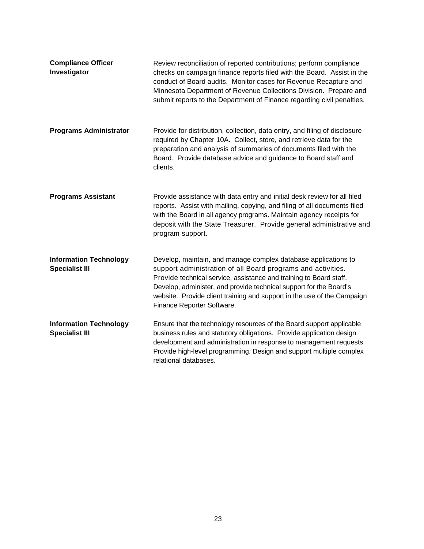| <b>Compliance Officer</b><br>Investigator              | Review reconciliation of reported contributions; perform compliance<br>checks on campaign finance reports filed with the Board. Assist in the<br>conduct of Board audits. Monitor cases for Revenue Recapture and<br>Minnesota Department of Revenue Collections Division. Prepare and<br>submit reports to the Department of Finance regarding civil penalties.                    |
|--------------------------------------------------------|-------------------------------------------------------------------------------------------------------------------------------------------------------------------------------------------------------------------------------------------------------------------------------------------------------------------------------------------------------------------------------------|
| <b>Programs Administrator</b>                          | Provide for distribution, collection, data entry, and filing of disclosure<br>required by Chapter 10A. Collect, store, and retrieve data for the<br>preparation and analysis of summaries of documents filed with the<br>Board. Provide database advice and guidance to Board staff and<br>clients.                                                                                 |
| <b>Programs Assistant</b>                              | Provide assistance with data entry and initial desk review for all filed<br>reports. Assist with mailing, copying, and filing of all documents filed<br>with the Board in all agency programs. Maintain agency receipts for<br>deposit with the State Treasurer. Provide general administrative and<br>program support.                                                             |
| <b>Information Technology</b><br><b>Specialist III</b> | Develop, maintain, and manage complex database applications to<br>support administration of all Board programs and activities.<br>Provide technical service, assistance and training to Board staff.<br>Develop, administer, and provide technical support for the Board's<br>website. Provide client training and support in the use of the Campaign<br>Finance Reporter Software. |
| <b>Information Technology</b><br><b>Specialist III</b> | Ensure that the technology resources of the Board support applicable<br>business rules and statutory obligations. Provide application design<br>development and administration in response to management requests.<br>Provide high-level programming. Design and support multiple complex<br>relational databases.                                                                  |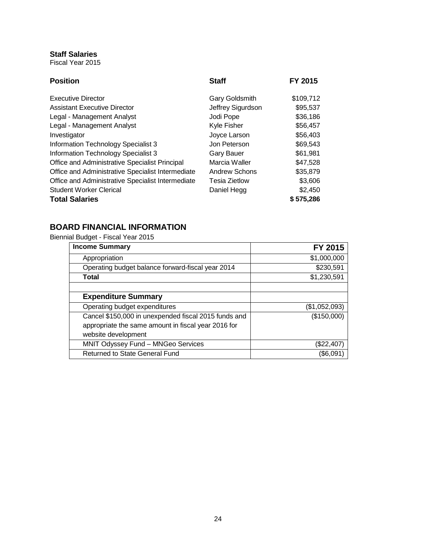# <span id="page-27-0"></span>**Staff Salaries**

Fiscal Year 2015

| <b>Position</b>                                   | <b>Staff</b>         | <b>FY 2015</b> |
|---------------------------------------------------|----------------------|----------------|
| <b>Executive Director</b>                         | Gary Goldsmith       | \$109,712      |
| <b>Assistant Executive Director</b>               | Jeffrey Sigurdson    | \$95,537       |
| Legal - Management Analyst                        | Jodi Pope            | \$36,186       |
| Legal - Management Analyst                        | Kyle Fisher          | \$56,457       |
| Investigator                                      | Joyce Larson         | \$56,403       |
| Information Technology Specialist 3               | Jon Peterson         | \$69,543       |
| Information Technology Specialist 3               | <b>Gary Bauer</b>    | \$61,981       |
| Office and Administrative Specialist Principal    | Marcia Waller        | \$47,528       |
| Office and Administrative Specialist Intermediate | <b>Andrew Schons</b> | \$35,879       |
| Office and Administrative Specialist Intermediate | <b>Tesia Zietlow</b> | \$3,606        |
| <b>Student Worker Clerical</b>                    | Daniel Hegg          | \$2,450        |
| <b>Total Salaries</b>                             |                      | \$575,286      |

# <span id="page-27-1"></span>**BOARD FINANCIAL INFORMATION**

Biennial Budget - Fiscal Year 2015

| <b>Income Summary</b>                                | FY 2015       |
|------------------------------------------------------|---------------|
| Appropriation                                        | \$1,000,000   |
| Operating budget balance forward-fiscal year 2014    | \$230,591     |
| Total                                                | \$1,230,591   |
|                                                      |               |
| <b>Expenditure Summary</b>                           |               |
| Operating budget expenditures                        | (\$1,052,093) |
| Cancel \$150,000 in unexpended fiscal 2015 funds and | (\$150,000)   |
| appropriate the same amount in fiscal year 2016 for  |               |
| website development                                  |               |
| MNIT Odyssey Fund - MNGeo Services                   | $(\$22,407)$  |
| Returned to State General Fund                       | (\$6,091      |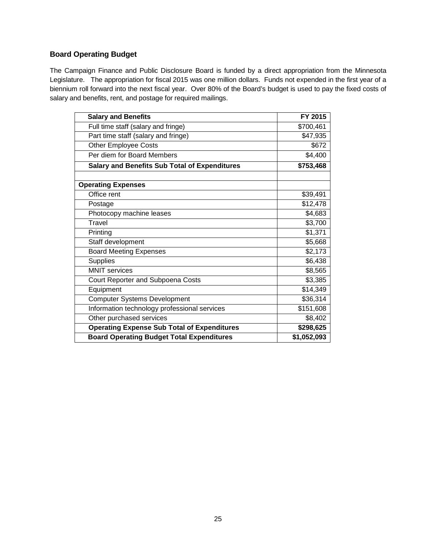# <span id="page-28-0"></span>**Board Operating Budget**

The Campaign Finance and Public Disclosure Board is funded by a direct appropriation from the Minnesota Legislature. The appropriation for fiscal 2015 was one million dollars. Funds not expended in the first year of a biennium roll forward into the next fiscal year. Over 80% of the Board's budget is used to pay the fixed costs of salary and benefits, rent, and postage for required mailings.

| <b>Salary and Benefits</b>                           | FY 2015     |
|------------------------------------------------------|-------------|
| Full time staff (salary and fringe)                  | \$700,461   |
| Part time staff (salary and fringe)                  | \$47,935    |
| <b>Other Employee Costs</b>                          | \$672       |
| Per diem for Board Members                           | \$4,400     |
| <b>Salary and Benefits Sub Total of Expenditures</b> | \$753,468   |
|                                                      |             |
| <b>Operating Expenses</b>                            |             |
| Office rent                                          | \$39,491    |
| Postage                                              | \$12,478    |
| Photocopy machine leases                             | \$4,683     |
| <b>Travel</b>                                        | \$3,700     |
| Printing                                             | \$1,371     |
| Staff development                                    | \$5,668     |
| <b>Board Meeting Expenses</b>                        | \$2,173     |
| <b>Supplies</b>                                      | \$6,438     |
| <b>MNIT</b> services                                 | \$8,565     |
| Court Reporter and Subpoena Costs                    | \$3,385     |
| Equipment                                            | \$14,349    |
| <b>Computer Systems Development</b>                  | \$36,314    |
| Information technology professional services         | \$151,608   |
| Other purchased services                             | \$8,402     |
| <b>Operating Expense Sub Total of Expenditures</b>   | \$298,625   |
| <b>Board Operating Budget Total Expenditures</b>     | \$1,052,093 |